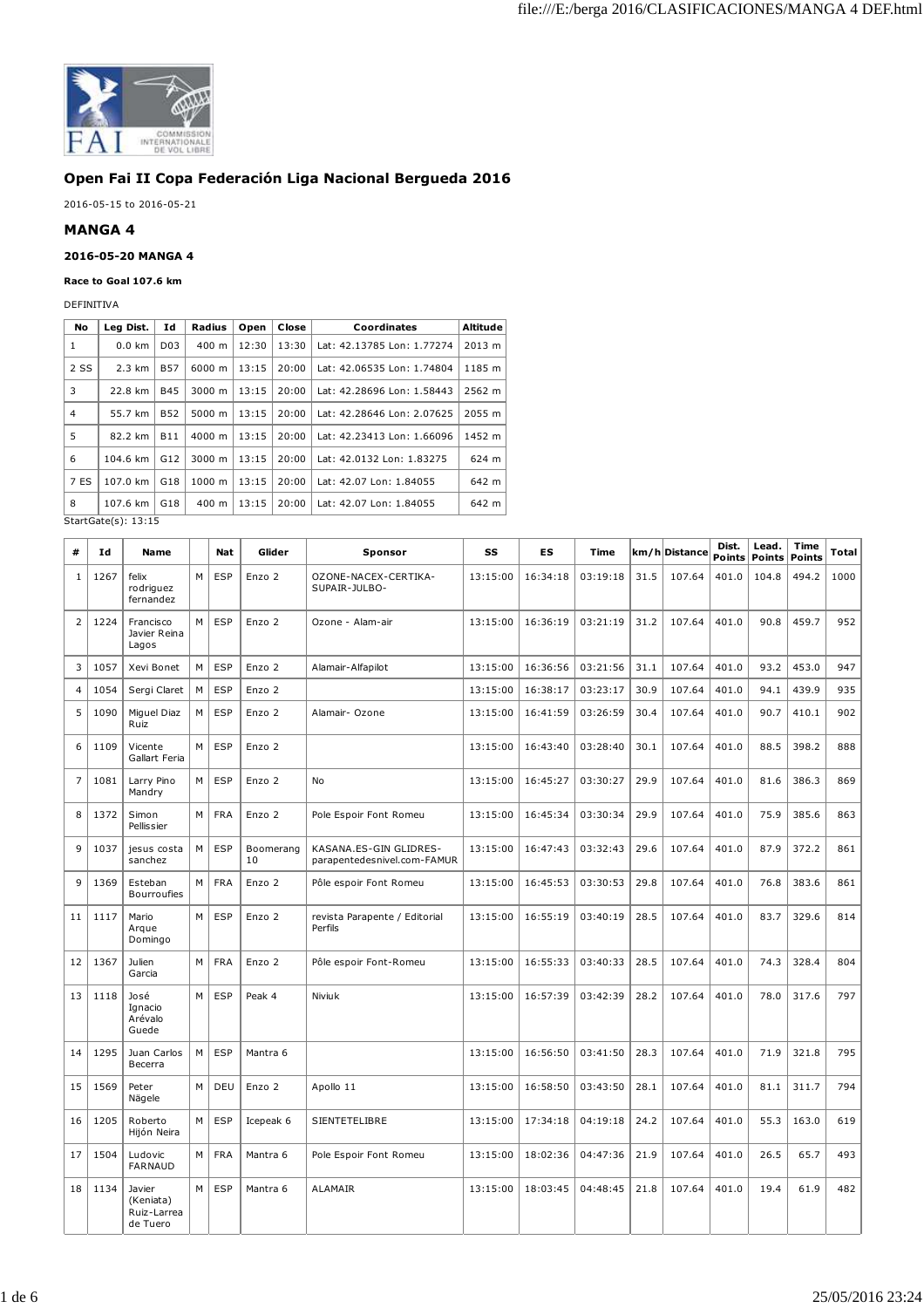

## **Open Fai II Copa Federación Liga Nacional Bergueda 2016**

2016-05-15 to 2016-05-21

## **MANGA 4**

## **2016-05-20 MANGA 4**

## **Race to Goal 107.6 km**

DEFINITIVA

| No             | Leg Dist.                                            | Ιd               | Radius             | Open  | Close | Coordinates                | Altitude |  |
|----------------|------------------------------------------------------|------------------|--------------------|-------|-------|----------------------------|----------|--|
| 1              | $0.0$ km                                             | D <sub>0</sub> 3 | $400 \text{ m}$    | 12:30 | 13:30 | Lat: 42.13785 Lon: 1.77274 | 2013 m   |  |
| 2 SS           | $2.3 \text{ km}$                                     | <b>B57</b>       | $6000 \; m$        | 13:15 | 20:00 | Lat: 42.06535 Lon: 1.74804 | 1185 m   |  |
| 3              | 22.8 km                                              | <b>B45</b>       | 3000 m             | 13:15 | 20:00 | Lat: 42.28696 Lon: 1.58443 | 2562 m   |  |
| $\overline{4}$ | 55.7 km                                              | <b>B52</b>       | 5000 m             | 13:15 | 20:00 | Lat: 42.28646 Lon: 2.07625 | 2055 m   |  |
| 5              | 82.2 km                                              | <b>B11</b>       | $4000 \; \text{m}$ | 13:15 | 20:00 | Lat: 42.23413 Lon: 1.66096 | 1452 m   |  |
| 6              | 104.6 km                                             | G12              | $3000 \; m$        | 13:15 | 20:00 | Lat: 42.0132 Lon: 1.83275  | 624 m    |  |
| 7 ES           | 107.0 km                                             | G <sub>18</sub>  | 1000 m             | 13:15 | 20:00 | Lat: 42.07 Lon: 1.84055    | 642 m    |  |
| 8              | 107.6 km                                             | G18              | 400 m              | 13:15 | 20:00 | Lat: 42.07 Lon: 1.84055    | 642 m    |  |
|                | $C+$ <sub>2</sub> + $C$ <sub>2</sub> + $(0)$ , 12,15 |                  |                    |       |       |                            |          |  |

StartGate(s): 13:15

| #              | Ιd   | Name                                           |   | Nat        | Glider          | Sponsor                                               | SS       | <b>ES</b> | Time     |      | km/h Distance | Dist.<br>Points | Lead.<br><b>Points</b> | Time<br><b>Points</b> | Total |
|----------------|------|------------------------------------------------|---|------------|-----------------|-------------------------------------------------------|----------|-----------|----------|------|---------------|-----------------|------------------------|-----------------------|-------|
| $\mathbf{1}$   | 1267 | felix<br>rodriguez<br>fernandez                | M | <b>ESP</b> | Enzo 2          | OZONE-NACEX-CERTIKA-<br>SUPAIR-JULBO-                 | 13:15:00 | 16:34:18  | 03:19:18 | 31.5 | 107.64        | 401.0           | 104.8                  | 494.2                 | 1000  |
| $\overline{2}$ | 1224 | Francisco<br>Javier Reina<br>Lagos             | M | <b>ESP</b> | Enzo 2          | Ozone - Alam-air                                      | 13:15:00 | 16:36:19  | 03:21:19 | 31.2 | 107.64        | 401.0           | 90.8                   | 459.7                 | 952   |
| 3              | 1057 | Xevi Bonet                                     | M | <b>ESP</b> | Enzo 2          | Alamair-Alfapilot                                     | 13:15:00 | 16:36:56  | 03:21:56 | 31.1 | 107.64        | 401.0           | 93.2                   | 453.0                 | 947   |
| 4              | 1054 | Sergi Claret                                   | M | <b>ESP</b> | Enzo 2          |                                                       | 13:15:00 | 16:38:17  | 03:23:17 | 30.9 | 107.64        | 401.0           | 94.1                   | 439.9                 | 935   |
| 5              | 1090 | Miguel Diaz<br>Ruiz                            | M | <b>ESP</b> | Enzo 2          | Alamair- Ozone                                        | 13:15:00 | 16:41:59  | 03:26:59 | 30.4 | 107.64        | 401.0           | 90.7                   | 410.1                 | 902   |
| 6              | 1109 | Vicente<br>Gallart Feria                       | M | <b>ESP</b> | Enzo 2          |                                                       | 13:15:00 | 16:43:40  | 03:28:40 | 30.1 | 107.64        | 401.0           | 88.5                   | 398.2                 | 888   |
| $\overline{7}$ | 1081 | Larry Pino<br>Mandry                           | M | <b>ESP</b> | Enzo 2          | <b>No</b>                                             | 13:15:00 | 16:45:27  | 03:30:27 | 29.9 | 107.64        | 401.0           | 81.6                   | 386.3                 | 869   |
| 8              | 1372 | Simon<br>Pellissier                            | M | <b>FRA</b> | Enzo 2          | Pole Espoir Font Romeu                                | 13:15:00 | 16:45:34  | 03:30:34 | 29.9 | 107.64        | 401.0           | 75.9                   | 385.6                 | 863   |
| 9              | 1037 | jesus costa<br>sanchez                         | M | <b>ESP</b> | Boomerang<br>10 | KASANA.ES-GIN GLIDRES-<br>parapentedesnivel.com-FAMUR | 13:15:00 | 16:47:43  | 03:32:43 | 29.6 | 107.64        | 401.0           | 87.9                   | 372.2                 | 861   |
| 9              | 1369 | Esteban<br>Bourroufies                         | M | <b>FRA</b> | Enzo 2          | Pôle espoir Font Romeu                                | 13:15:00 | 16:45:53  | 03:30:53 | 29.8 | 107.64        | 401.0           | 76.8                   | 383.6                 | 861   |
| 11             | 1117 | Mario<br>Araue<br>Domingo                      | M | <b>ESP</b> | Enzo 2          | revista Parapente / Editorial<br>Perfils              | 13:15:00 | 16:55:19  | 03:40:19 | 28.5 | 107.64        | 401.0           | 83.7                   | 329.6                 | 814   |
| 12             | 1367 | Julien<br>Garcia                               | M | <b>FRA</b> | Enzo 2          | Pôle espoir Font-Romeu                                | 13:15:00 | 16:55:33  | 03:40:33 | 28.5 | 107.64        | 401.0           | 74.3                   | 328.4                 | 804   |
| 13             | 1118 | José<br>Ignacio<br>Arévalo<br>Guede            | M | <b>ESP</b> | Peak 4          | Niviuk                                                | 13:15:00 | 16:57:39  | 03:42:39 | 28.2 | 107.64        | 401.0           | 78.0                   | 317.6                 | 797   |
| 14             | 1295 | Juan Carlos<br>Becerra                         | M | ESP        | Mantra 6        |                                                       | 13:15:00 | 16:56:50  | 03:41:50 | 28.3 | 107.64        | 401.0           | 71.9                   | 321.8                 | 795   |
| 15             | 1569 | Peter<br>Nägele                                | M | DEU        | Enzo 2          | Apollo 11                                             | 13:15:00 | 16:58:50  | 03:43:50 | 28.1 | 107.64        | 401.0           | 81.1                   | 311.7                 | 794   |
| 16             | 1205 | Roberto<br>Hijón Neira                         | M | <b>ESP</b> | Icepeak 6       | <b>SIENTETELIBRE</b>                                  | 13:15:00 | 17:34:18  | 04:19:18 | 24.2 | 107.64        | 401.0           | 55.3                   | 163.0                 | 619   |
| 17             | 1504 | Ludovic<br><b>FARNAUD</b>                      | M | <b>FRA</b> | Mantra 6        | Pole Espoir Font Romeu                                | 13:15:00 | 18:02:36  | 04:47:36 | 21.9 | 107.64        | 401.0           | 26.5                   | 65.7                  | 493   |
| 18             | 1134 | Javier<br>(Keniata)<br>Ruiz-Larrea<br>de Tuero | M | <b>ESP</b> | Mantra 6        | <b>ALAMAIR</b>                                        | 13:15:00 | 18:03:45  | 04:48:45 | 21.8 | 107.64        | 401.0           | 19.4                   | 61.9                  | 482   |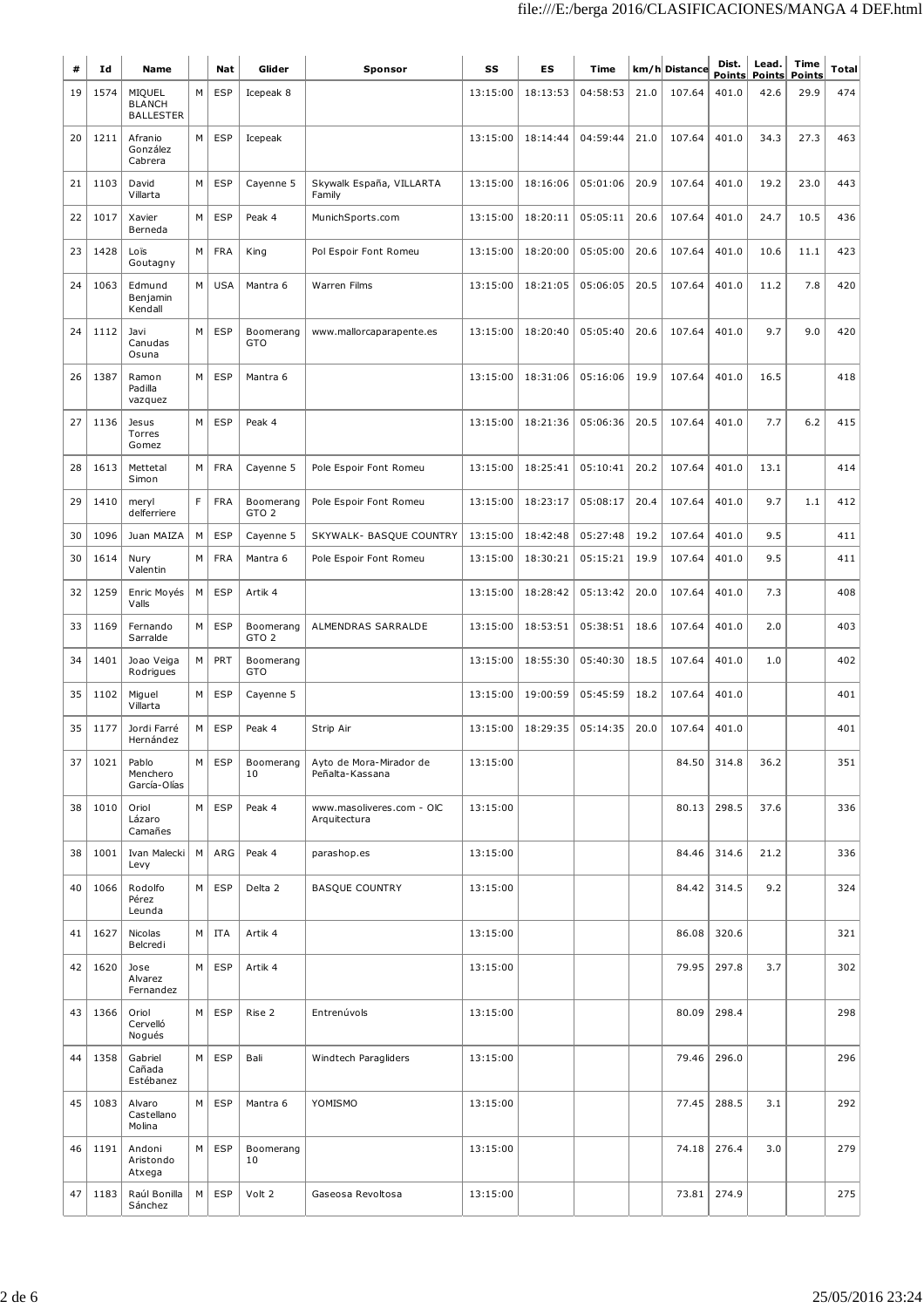| #  | Id   | Name                                        |   | Nat        | Glider                        | Sponsor                                    | SS       | <b>ES</b> | Time     | km/h Distance |        | Dist.<br><b>Points</b> | Lead.<br><b>Points</b> | Time<br><b>Points</b> | <b>Total</b> |
|----|------|---------------------------------------------|---|------------|-------------------------------|--------------------------------------------|----------|-----------|----------|---------------|--------|------------------------|------------------------|-----------------------|--------------|
| 19 | 1574 | MIQUEL<br><b>BLANCH</b><br><b>BALLESTER</b> | М | <b>ESP</b> | Icepeak 8                     |                                            | 13:15:00 | 18:13:53  | 04:58:53 | 21.0          | 107.64 | 401.0                  | 42.6                   | 29.9                  | 474          |
| 20 | 1211 | Afranio<br>González<br>Cabrera              | M | <b>ESP</b> | Icepeak                       |                                            | 13:15:00 | 18:14:44  | 04:59:44 | 21.0          | 107.64 | 401.0                  | 34.3                   | 27.3                  | 463          |
| 21 | 1103 | David<br>Villarta                           | M | <b>ESP</b> | Cayenne 5                     | Skywalk España, VILLARTA<br>Family         | 13:15:00 | 18:16:06  | 05:01:06 | 20.9          | 107.64 | 401.0                  | 19.2                   | 23.0                  | 443          |
| 22 | 1017 | Xavier<br>Berneda                           | M | <b>ESP</b> | Peak 4                        | MunichSports.com                           | 13:15:00 | 18:20:11  | 05:05:11 | 20.6          | 107.64 | 401.0                  | 24.7                   | 10.5                  | 436          |
| 23 | 1428 | Loïs<br>Goutagny                            | M | <b>FRA</b> | King                          | Pol Espoir Font Romeu                      | 13:15:00 | 18:20:00  | 05:05:00 | 20.6          | 107.64 | 401.0                  | 10.6                   | 11.1                  | 423          |
| 24 | 1063 | Edmund<br>Benjamin<br>Kendall               | M | <b>USA</b> | Mantra 6                      | Warren Films                               | 13:15:00 | 18:21:05  | 05:06:05 | 20.5          | 107.64 | 401.0                  | 11.2                   | 7.8                   | 420          |
| 24 | 1112 | Javi<br>Canudas<br>Osuna                    | M | <b>ESP</b> | Boomerang<br>GTO              | www.mallorcaparapente.es                   | 13:15:00 | 18:20:40  | 05:05:40 | 20.6          | 107.64 | 401.0                  | 9.7                    | 9.0                   | 420          |
| 26 | 1387 | Ramon<br>Padilla<br>vazquez                 | M | <b>ESP</b> | Mantra 6                      |                                            | 13:15:00 | 18:31:06  | 05:16:06 | 19.9          | 107.64 | 401.0                  | 16.5                   |                       | 418          |
| 27 | 1136 | Jesus<br>Torres<br>Gomez                    | M | <b>ESP</b> | Peak 4                        |                                            | 13:15:00 | 18:21:36  | 05:06:36 | 20.5          | 107.64 | 401.0                  | 7.7                    | 6.2                   | 415          |
| 28 | 1613 | Mettetal<br>Simon                           | M | <b>FRA</b> | Cayenne 5                     | Pole Espoir Font Romeu                     | 13:15:00 | 18:25:41  | 05:10:41 | 20.2          | 107.64 | 401.0                  | 13.1                   |                       | 414          |
| 29 | 1410 | meryl<br>delferriere                        | F | <b>FRA</b> | Boomerang<br>GTO <sub>2</sub> | Pole Espoir Font Romeu                     | 13:15:00 | 18:23:17  | 05:08:17 | 20.4          | 107.64 | 401.0                  | 9.7                    | 1.1                   | 412          |
| 30 | 1096 | Juan MAIZA                                  | M | <b>ESP</b> | Cayenne 5                     | SKYWALK- BASQUE COUNTRY                    | 13:15:00 | 18:42:48  | 05:27:48 | 19.2          | 107.64 | 401.0                  | 9.5                    |                       | 411          |
| 30 | 1614 | Nury<br>Valentin                            | M | <b>FRA</b> | Mantra 6                      | Pole Espoir Font Romeu                     | 13:15:00 | 18:30:21  | 05:15:21 | 19.9          | 107.64 | 401.0                  | 9.5                    |                       | 411          |
| 32 | 1259 | Enric Moyés<br>Valls                        | M | <b>ESP</b> | Artik 4                       |                                            | 13:15:00 | 18:28:42  | 05:13:42 | 20.0          | 107.64 | 401.0                  | 7.3                    |                       | 408          |
| 33 | 1169 | Fernando<br>Sarralde                        | M | <b>ESP</b> | Boomerang<br>GTO <sub>2</sub> | ALMENDRAS SARRALDE                         | 13:15:00 | 18:53:51  | 05:38:51 | 18.6          | 107.64 | 401.0                  | 2.0                    |                       | 403          |
| 34 | 1401 | Joao Veiga<br>Rodrigues                     | М | PRT        | Boomerang<br><b>GTO</b>       |                                            | 13:15:00 | 18:55:30  | 05:40:30 | 18.5          | 107.64 | 401.0                  | 1.0                    |                       | 402          |
| 35 | 1102 | Miguel<br>Villarta                          | M | <b>ESP</b> | Cayenne 5                     |                                            | 13:15:00 | 19:00:59  | 05:45:59 | 18.2          | 107.64 | 401.0                  |                        |                       | 401          |
| 35 | 1177 | Jordi Farré<br>Hernández                    | M | <b>ESP</b> | Peak 4                        | Strip Air                                  | 13:15:00 | 18:29:35  | 05:14:35 | 20.0          | 107.64 | 401.0                  |                        |                       | 401          |
| 37 | 1021 | Pablo<br>Menchero<br>García-Olías           | M | <b>ESP</b> | Boomerang<br>10               | Ayto de Mora-Mirador de<br>Peñalta-Kassana | 13:15:00 |           |          |               | 84.50  | 314.8                  | 36.2                   |                       | 351          |
| 38 | 1010 | Oriol<br>Lázaro<br>Camañes                  | M | <b>ESP</b> | Peak 4                        | www.masoliveres.com - OIC<br>Arquitectura  | 13:15:00 |           |          |               | 80.13  | 298.5                  | 37.6                   |                       | 336          |
| 38 | 1001 | Ivan Malecki<br>Levy                        | M | ARG        | Peak 4                        | parashop.es                                | 13:15:00 |           |          |               | 84.46  | 314.6                  | 21.2                   |                       | 336          |
| 40 | 1066 | Rodolfo<br>Pérez<br>Leunda                  | M | <b>ESP</b> | Delta 2                       | <b>BASQUE COUNTRY</b>                      | 13:15:00 |           |          |               | 84.42  | 314.5                  | 9.2                    |                       | 324          |
| 41 | 1627 | Nicolas<br>Belcredi                         | M | ITA        | Artik 4                       |                                            | 13:15:00 |           |          |               | 86.08  | 320.6                  |                        |                       | 321          |
| 42 | 1620 | Jose<br>Alvarez<br>Fernandez                | M | <b>ESP</b> | Artik 4                       |                                            | 13:15:00 |           |          |               | 79.95  | 297.8                  | 3.7                    |                       | 302          |
| 43 | 1366 | Oriol<br>Cervelló<br>Nogués                 | M | <b>ESP</b> | Rise 2                        | Entrenúvols                                | 13:15:00 |           |          |               | 80.09  | 298.4                  |                        |                       | 298          |
| 44 | 1358 | Gabriel<br>Cañada<br>Estébanez              | M | <b>ESP</b> | Bali                          | Windtech Paragliders                       | 13:15:00 |           |          |               | 79.46  | 296.0                  |                        |                       | 296          |
| 45 | 1083 | Alvaro<br>Castellano<br>Molina              | M | <b>ESP</b> | Mantra 6                      | YOMISMO                                    | 13:15:00 |           |          |               | 77.45  | 288.5                  | 3.1                    |                       | 292          |
| 46 | 1191 | Andoni<br>Aristondo<br>Atxega               | M | <b>ESP</b> | Boomerang<br>10               |                                            | 13:15:00 |           |          |               | 74.18  | 276.4                  | 3.0                    |                       | 279          |
| 47 | 1183 | Raúl Bonilla<br>Sánchez                     | M | <b>ESP</b> | Volt 2                        | Gaseosa Revoltosa                          | 13:15:00 |           |          |               | 73.81  | 274.9                  |                        |                       | 275          |